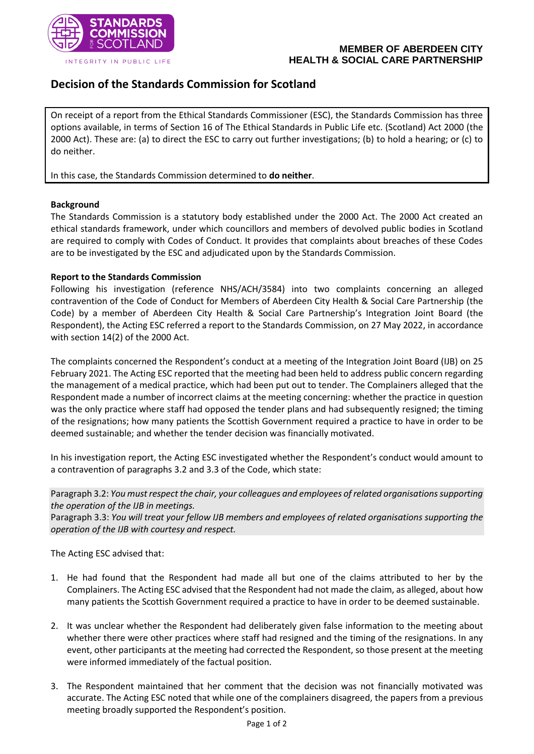

## **MEMBER OF ABERDEEN CITY HEALTH & SOCIAL CARE PARTNERSHIP**

# **Decision of the Standards Commission for Scotland**

On receipt of a report from the Ethical Standards Commissioner (ESC), the Standards Commission has three options available, in terms of Section 16 of The Ethical Standards in Public Life etc. (Scotland) Act 2000 (the 2000 Act). These are: (a) to direct the ESC to carry out further investigations; (b) to hold a hearing; or (c) to do neither.

In this case, the Standards Commission determined to **do neither**.

## **Background**

The Standards Commission is a statutory body established under the 2000 Act. The 2000 Act created an ethical standards framework, under which councillors and members of devolved public bodies in Scotland are required to comply with Codes of Conduct. It provides that complaints about breaches of these Codes are to be investigated by the ESC and adjudicated upon by the Standards Commission.

## **Report to the Standards Commission**

Following his investigation (reference NHS/ACH/3584) into two complaints concerning an alleged contravention of the Code of Conduct for Members of Aberdeen City Health & Social Care Partnership (the Code) by a member of Aberdeen City Health & Social Care Partnership's Integration Joint Board (the Respondent), the Acting ESC referred a report to the Standards Commission, on 27 May 2022, in accordance with section 14(2) of the 2000 Act.

The complaints concerned the Respondent's conduct at a meeting of the Integration Joint Board (IJB) on 25 February 2021. The Acting ESC reported that the meeting had been held to address public concern regarding the management of a medical practice, which had been put out to tender. The Complainers alleged that the Respondent made a number of incorrect claims at the meeting concerning: whether the practice in question was the only practice where staff had opposed the tender plans and had subsequently resigned; the timing of the resignations; how many patients the Scottish Government required a practice to have in order to be deemed sustainable; and whether the tender decision was financially motivated.

In his investigation report, the Acting ESC investigated whether the Respondent's conduct would amount to a contravention of paragraphs 3.2 and 3.3 of the Code, which state:

Paragraph 3.2: *You must respect the chair, your colleagues and employees of related organisations supporting the operation of the IJB in meetings.*

Paragraph 3.3: *You will treat your fellow IJB members and employees of related organisations supporting the operation of the IJB with courtesy and respect.*

The Acting ESC advised that:

- 1. He had found that the Respondent had made all but one of the claims attributed to her by the Complainers. The Acting ESC advised that the Respondent had not made the claim, as alleged, about how many patients the Scottish Government required a practice to have in order to be deemed sustainable.
- 2. It was unclear whether the Respondent had deliberately given false information to the meeting about whether there were other practices where staff had resigned and the timing of the resignations. In any event, other participants at the meeting had corrected the Respondent, so those present at the meeting were informed immediately of the factual position.
- 3. The Respondent maintained that her comment that the decision was not financially motivated was accurate. The Acting ESC noted that while one of the complainers disagreed, the papers from a previous meeting broadly supported the Respondent's position.